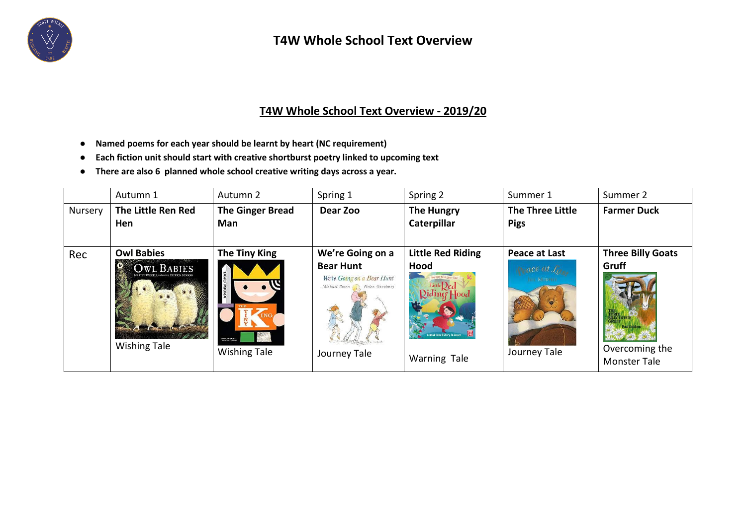

## **T4W Whole School Text Overview**

## **T4W Whole School Text Overview - 2019/20**

- **Named poems for each year should be learnt by heart (NC requirement)**
- **Each fiction unit should start with creative shortburst poetry linked to upcoming text**
- **There are also 6 planned whole school creative writing days across a year.**

|         | Autumn 1                                                                                       | Autumn 2                                                                                    | Spring 1                                                                                                             | Spring 2                                                                             | Summer 1                                                          | Summer 2                                                                   |
|---------|------------------------------------------------------------------------------------------------|---------------------------------------------------------------------------------------------|----------------------------------------------------------------------------------------------------------------------|--------------------------------------------------------------------------------------|-------------------------------------------------------------------|----------------------------------------------------------------------------|
| Nursery | The Little Ren Red<br>Hen                                                                      | <b>The Ginger Bread</b><br>Man                                                              | Dear Zoo                                                                                                             | <b>The Hungry</b><br>Caterpillar                                                     | The Three Little<br><b>Pigs</b>                                   | <b>Farmer Duck</b>                                                         |
| Rec     | <b>Owl Babies</b><br><b>OWL BABIES</b><br><b>All Controller Section</b><br><b>Wishing Tale</b> | <b>The Tiny King</b><br>(This is the actual)<br>Mile of the Total II<br><b>Wishing Tale</b> | We're Going on a<br><b>Bear Hunt</b><br>We're Going on a Bear Hunt<br>Michael Rosen   Helen Oxenbury<br>Journey Tale | <b>Little Red Riding</b><br>Hood<br>My Very First Story Time<br>Hood<br>Warning Tale | Peace at Last<br>ace at Land<br><b>III</b> MORTHY<br>Journey Tale | <b>Three Billy Goats</b><br>Gruff<br>Overcoming the<br><b>Monster Tale</b> |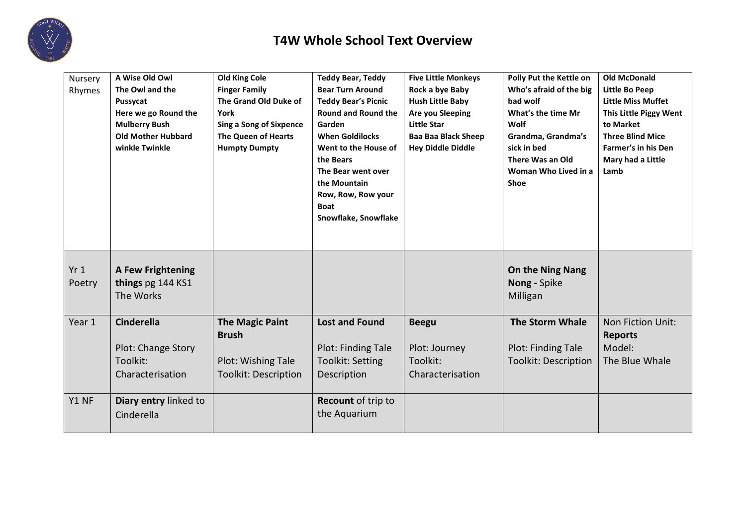

| Nursery<br>Rhymes | A Wise Old Owl<br>The Owl and the<br>Pussycat<br>Here we go Round the<br><b>Mulberry Bush</b><br><b>Old Mother Hubbard</b><br>winkle Twinkle | <b>Old King Cole</b><br><b>Finger Family</b><br>The Grand Old Duke of<br>York<br><b>Sing a Song of Sixpence</b><br><b>The Queen of Hearts</b><br><b>Humpty Dumpty</b> | <b>Teddy Bear, Teddy</b><br><b>Bear Turn Around</b><br><b>Teddy Bear's Picnic</b><br><b>Round and Round the</b><br>Garden<br><b>When Goldilocks</b><br>Went to the House of<br>the Bears<br>The Bear went over<br>the Mountain<br>Row, Row, Row your<br><b>Boat</b><br>Snowflake, Snowflake | <b>Five Little Monkeys</b><br>Rock a bye Baby<br><b>Hush Little Baby</b><br>Are you Sleeping<br><b>Little Star</b><br><b>Baa Baa Black Sheep</b><br><b>Hey Diddle Diddle</b> | Polly Put the Kettle on<br>Who's afraid of the big<br>bad wolf<br>What's the time Mr<br>Wolf<br>Grandma, Grandma's<br>sick in bed<br>There Was an Old<br>Woman Who Lived in a<br>Shoe | <b>Old McDonald</b><br>Little Bo Peep<br><b>Little Miss Muffet</b><br>This Little Piggy Went<br>to Market<br><b>Three Blind Mice</b><br><b>Farmer's in his Den</b><br>Mary had a Little<br>Lamb |
|-------------------|----------------------------------------------------------------------------------------------------------------------------------------------|-----------------------------------------------------------------------------------------------------------------------------------------------------------------------|---------------------------------------------------------------------------------------------------------------------------------------------------------------------------------------------------------------------------------------------------------------------------------------------|------------------------------------------------------------------------------------------------------------------------------------------------------------------------------|---------------------------------------------------------------------------------------------------------------------------------------------------------------------------------------|-------------------------------------------------------------------------------------------------------------------------------------------------------------------------------------------------|
| Yr1<br>Poetry     | <b>A Few Frightening</b><br>things pg 144 KS1<br>The Works                                                                                   |                                                                                                                                                                       |                                                                                                                                                                                                                                                                                             |                                                                                                                                                                              | On the Ning Nang<br>Nong - Spike<br>Milligan                                                                                                                                          |                                                                                                                                                                                                 |
| Year 1            | <b>Cinderella</b><br>Plot: Change Story<br>Toolkit:<br>Characterisation                                                                      | <b>The Magic Paint</b><br><b>Brush</b><br>Plot: Wishing Tale<br><b>Toolkit: Description</b>                                                                           | <b>Lost and Found</b><br>Plot: Finding Tale<br><b>Toolkit: Setting</b><br>Description                                                                                                                                                                                                       | <b>Beegu</b><br>Plot: Journey<br>Toolkit:<br>Characterisation                                                                                                                | <b>The Storm Whale</b><br>Plot: Finding Tale<br><b>Toolkit: Description</b>                                                                                                           | Non Fiction Unit:<br><b>Reports</b><br>Model:<br>The Blue Whale                                                                                                                                 |
| Y1 NF             | Diary entry linked to<br>Cinderella                                                                                                          |                                                                                                                                                                       | <b>Recount of trip to</b><br>the Aquarium                                                                                                                                                                                                                                                   |                                                                                                                                                                              |                                                                                                                                                                                       |                                                                                                                                                                                                 |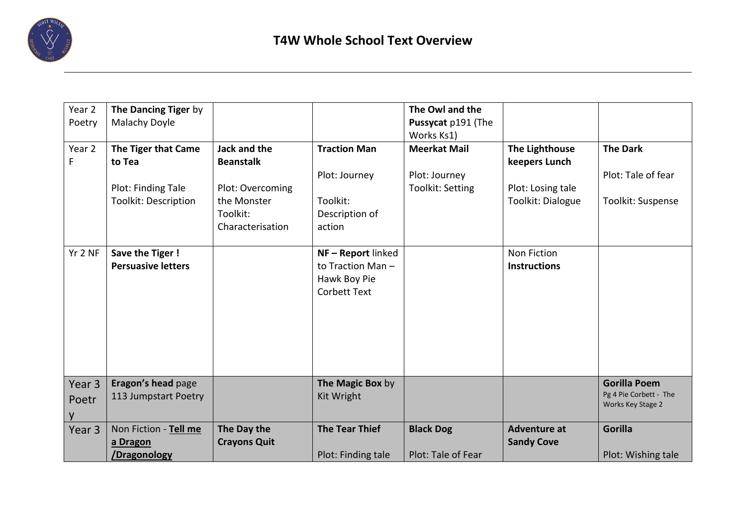

| Year 2<br>Poetry  | The Dancing Tiger by<br>Malachy Doyle             |                                                                 |                                                                             | The Owl and the<br>Pussycat p191 (The<br>Works Ks1) |                                          |                                                                    |
|-------------------|---------------------------------------------------|-----------------------------------------------------------------|-----------------------------------------------------------------------------|-----------------------------------------------------|------------------------------------------|--------------------------------------------------------------------|
| Year 2<br>F       | The Tiger that Came<br>to Tea                     | Jack and the<br><b>Beanstalk</b>                                | <b>Traction Man</b><br>Plot: Journey                                        | <b>Meerkat Mail</b><br>Plot: Journey                | <b>The Lighthouse</b><br>keepers Lunch   | <b>The Dark</b><br>Plot: Tale of fear                              |
|                   | Plot: Finding Tale<br><b>Toolkit: Description</b> | Plot: Overcoming<br>the Monster<br>Toolkit:<br>Characterisation | Toolkit:<br>Description of<br>action                                        | Toolkit: Setting                                    | Plot: Losing tale<br>Toolkit: Dialogue   | Toolkit: Suspense                                                  |
| Yr 2 NF           | Save the Tiger!<br><b>Persuasive letters</b>      |                                                                 | NF-Report linked<br>to Traction Man-<br>Hawk Boy Pie<br><b>Corbett Text</b> |                                                     | Non Fiction<br><b>Instructions</b>       |                                                                    |
| Year 3<br>Poetr   | Eragon's head page<br>113 Jumpstart Poetry        |                                                                 | The Magic Box by<br>Kit Wright                                              |                                                     |                                          | <b>Gorilla Poem</b><br>Pg 4 Pie Corbett - The<br>Works Key Stage 2 |
| Year <sub>3</sub> | Non Fiction - Tell me<br>a Dragon<br>/Dragonology | The Day the<br><b>Crayons Quit</b>                              | <b>The Tear Thief</b><br>Plot: Finding tale                                 | <b>Black Dog</b><br>Plot: Tale of Fear              | <b>Adventure at</b><br><b>Sandy Cove</b> | <b>Gorilla</b><br>Plot: Wishing tale                               |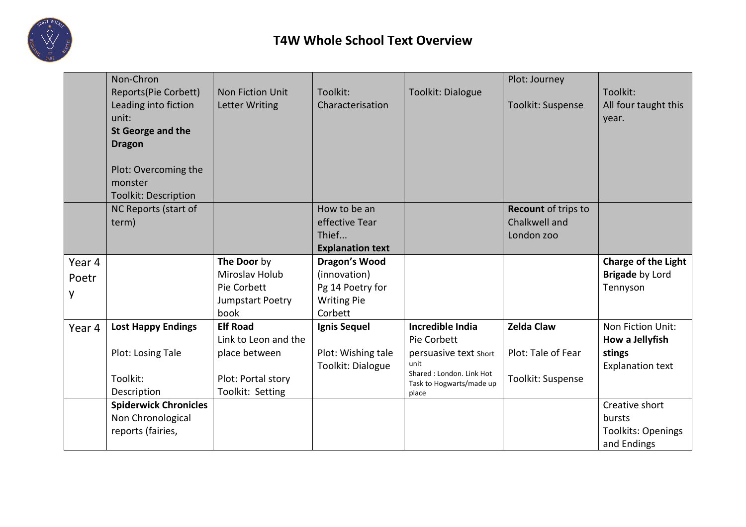

|        | Non-Chron                    |                         |                         |                                                      | Plot: Journey            |                            |
|--------|------------------------------|-------------------------|-------------------------|------------------------------------------------------|--------------------------|----------------------------|
|        | Reports(Pie Corbett)         | <b>Non Fiction Unit</b> | Toolkit:                | Toolkit: Dialogue                                    |                          | Toolkit:                   |
|        | Leading into fiction         | <b>Letter Writing</b>   | Characterisation        |                                                      | <b>Toolkit: Suspense</b> | All four taught this       |
|        | unit:                        |                         |                         |                                                      |                          | year.                      |
|        | <b>St George and the</b>     |                         |                         |                                                      |                          |                            |
|        | <b>Dragon</b>                |                         |                         |                                                      |                          |                            |
|        |                              |                         |                         |                                                      |                          |                            |
|        | Plot: Overcoming the         |                         |                         |                                                      |                          |                            |
|        | monster                      |                         |                         |                                                      |                          |                            |
|        | <b>Toolkit: Description</b>  |                         |                         |                                                      |                          |                            |
|        | NC Reports (start of         |                         | How to be an            |                                                      | Recount of trips to      |                            |
|        | term)                        |                         | effective Tear          |                                                      | Chalkwell and            |                            |
|        |                              |                         | Thief                   |                                                      | London zoo               |                            |
|        |                              |                         | <b>Explanation text</b> |                                                      |                          |                            |
| Year 4 |                              | The Door by             | <b>Dragon's Wood</b>    |                                                      |                          | <b>Charge of the Light</b> |
| Poetr  |                              | Miroslav Holub          | (innovation)            |                                                      |                          | <b>Brigade by Lord</b>     |
|        |                              | Pie Corbett             | Pg 14 Poetry for        |                                                      |                          | Tennyson                   |
| y      |                              | Jumpstart Poetry        | <b>Writing Pie</b>      |                                                      |                          |                            |
|        |                              | book                    | Corbett                 |                                                      |                          |                            |
| Year 4 | <b>Lost Happy Endings</b>    | <b>Elf Road</b>         | Ignis Sequel            | <b>Incredible India</b>                              | <b>Zelda Claw</b>        | Non Fiction Unit:          |
|        |                              | Link to Leon and the    |                         | Pie Corbett                                          |                          | How a Jellyfish            |
|        | Plot: Losing Tale            | place between           | Plot: Wishing tale      | persuasive text Short                                | Plot: Tale of Fear       | stings                     |
|        |                              |                         | Toolkit: Dialogue       | unit                                                 |                          | <b>Explanation text</b>    |
|        | Toolkit:                     | Plot: Portal story      |                         | Shared: London. Link Hot<br>Task to Hogwarts/made up | Toolkit: Suspense        |                            |
|        | Description                  | Toolkit: Setting        |                         | place                                                |                          |                            |
|        | <b>Spiderwick Chronicles</b> |                         |                         |                                                      |                          | Creative short             |
|        | Non Chronological            |                         |                         |                                                      |                          | bursts                     |
|        | reports (fairies,            |                         |                         |                                                      |                          | <b>Toolkits: Openings</b>  |
|        |                              |                         |                         |                                                      |                          | and Endings                |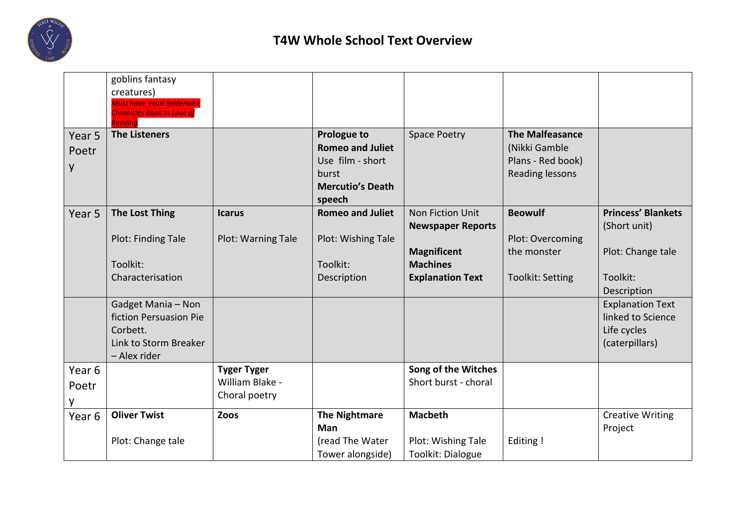

|                   | goblins fantasy                                                |                    |                         |                          |                         |                           |
|-------------------|----------------------------------------------------------------|--------------------|-------------------------|--------------------------|-------------------------|---------------------------|
|                   | creatures)                                                     |                    |                         |                          |                         |                           |
|                   | <b>Must have read Spiderwick</b><br>Chronicles book in Love of |                    |                         |                          |                         |                           |
|                   | Readina                                                        |                    |                         |                          |                         |                           |
| Year 5            | <b>The Listeners</b>                                           |                    | <b>Prologue to</b>      | <b>Space Poetry</b>      | <b>The Malfeasance</b>  |                           |
| Poetr             |                                                                |                    | <b>Romeo and Juliet</b> |                          | (Nikki Gamble           |                           |
| y                 |                                                                |                    | Use film - short        |                          | Plans - Red book)       |                           |
|                   |                                                                |                    | burst                   |                          | <b>Reading lessons</b>  |                           |
|                   |                                                                |                    | <b>Mercutio's Death</b> |                          |                         |                           |
|                   |                                                                |                    | speech                  |                          |                         |                           |
| Year 5            | <b>The Lost Thing</b>                                          | <b>Icarus</b>      | <b>Romeo and Juliet</b> | Non Fiction Unit         | <b>Beowulf</b>          | <b>Princess' Blankets</b> |
|                   |                                                                |                    |                         | <b>Newspaper Reports</b> |                         | (Short unit)              |
|                   | Plot: Finding Tale                                             | Plot: Warning Tale | Plot: Wishing Tale      |                          | Plot: Overcoming        |                           |
|                   |                                                                |                    |                         | <b>Magnificent</b>       | the monster             | Plot: Change tale         |
|                   | Toolkit:                                                       |                    | Toolkit:                | <b>Machines</b>          |                         |                           |
|                   | Characterisation                                               |                    | Description             | <b>Explanation Text</b>  | <b>Toolkit: Setting</b> | Toolkit:                  |
|                   |                                                                |                    |                         |                          |                         | Description               |
|                   | Gadget Mania - Non                                             |                    |                         |                          |                         | <b>Explanation Text</b>   |
|                   | fiction Persuasion Pie                                         |                    |                         |                          |                         | linked to Science         |
|                   | Corbett.                                                       |                    |                         |                          |                         | Life cycles               |
|                   | Link to Storm Breaker                                          |                    |                         |                          |                         | (caterpillars)            |
|                   | - Alex rider                                                   |                    |                         |                          |                         |                           |
| Year <sub>6</sub> |                                                                | <b>Tyger Tyger</b> |                         | Song of the Witches      |                         |                           |
| Poetr             |                                                                | William Blake -    |                         | Short burst - choral     |                         |                           |
|                   |                                                                | Choral poetry      |                         |                          |                         |                           |
| Year 6            | <b>Oliver Twist</b>                                            | Zoos               | <b>The Nightmare</b>    | <b>Macbeth</b>           |                         | <b>Creative Writing</b>   |
|                   |                                                                |                    | <b>Man</b>              |                          |                         | Project                   |
|                   | Plot: Change tale                                              |                    | (read The Water         | Plot: Wishing Tale       | Editing!                |                           |
|                   |                                                                |                    | Tower alongside)        | Toolkit: Dialogue        |                         |                           |